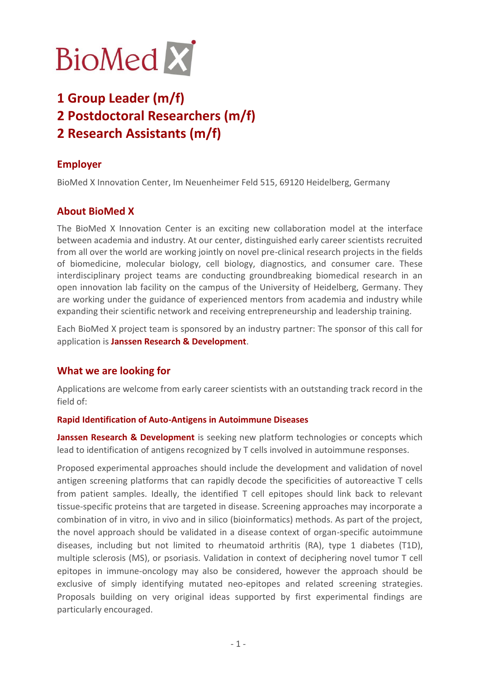

# **1 Group Leader (m/f) 2 Postdoctoral Researchers (m/f)**

**2 Research Assistants (m/f)**

# **Employer**

BioMed X Innovation Center, Im Neuenheimer Feld 515, 69120 Heidelberg, Germany

# **About BioMed X**

The BioMed X Innovation Center is an exciting new collaboration model at the interface between academia and industry. At our center, distinguished early career scientists recruited from all over the world are working jointly on novel pre-clinical research projects in the fields of biomedicine, molecular biology, cell biology, diagnostics, and consumer care. These interdisciplinary project teams are conducting groundbreaking biomedical research in an open innovation lab facility on the campus of the University of Heidelberg, Germany. They are working under the guidance of experienced mentors from academia and industry while expanding their scientific network and receiving entrepreneurship and leadership training.

Each BioMed X project team is sponsored by an industry partner: The sponsor of this call for application is **Janssen Research & Development**.

## **What we are looking for**

Applications are welcome from early career scientists with an outstanding track record in the field of:

#### **Rapid Identification of Auto-Antigens in Autoimmune Diseases**

**Janssen Research & Development** is seeking new platform technologies or concepts which lead to identification of antigens recognized by T cells involved in autoimmune responses.

Proposed experimental approaches should include the development and validation of novel antigen screening platforms that can rapidly decode the specificities of autoreactive T cells from patient samples. Ideally, the identified T cell epitopes should link back to relevant tissue-specific proteins that are targeted in disease. Screening approaches may incorporate a combination of in vitro, in vivo and in silico (bioinformatics) methods. As part of the project, the novel approach should be validated in a disease context of organ-specific autoimmune diseases, including but not limited to rheumatoid arthritis (RA), type 1 diabetes (T1D), multiple sclerosis (MS), or psoriasis. Validation in context of deciphering novel tumor T cell epitopes in immune-oncology may also be considered, however the approach should be exclusive of simply identifying mutated neo-epitopes and related screening strategies. Proposals building on very original ideas supported by first experimental findings are particularly encouraged.